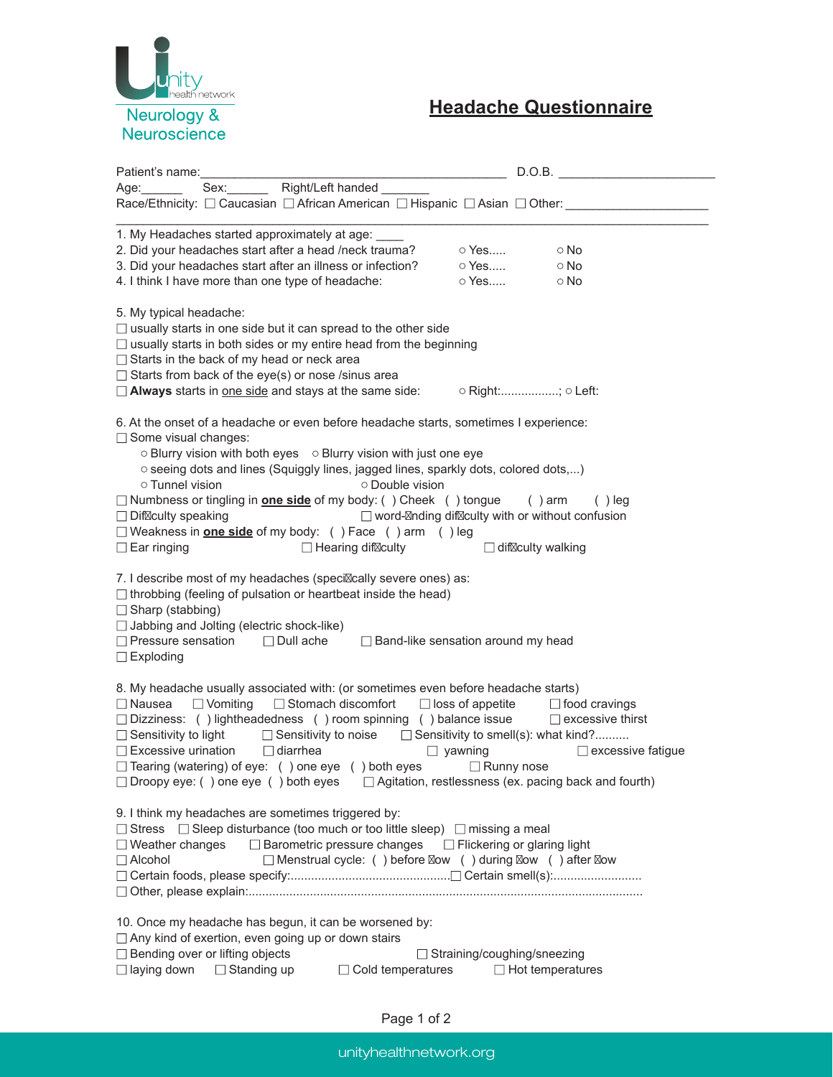

## **Headache Questionnaire**

|                                                                                                                                                                                                                                                                                                                                                                                                                                                                                                                                                                                                                               | D.O.B.                                 |  |  |  |
|-------------------------------------------------------------------------------------------------------------------------------------------------------------------------------------------------------------------------------------------------------------------------------------------------------------------------------------------------------------------------------------------------------------------------------------------------------------------------------------------------------------------------------------------------------------------------------------------------------------------------------|----------------------------------------|--|--|--|
| Sex: Right/Left handed _______<br>Age:______                                                                                                                                                                                                                                                                                                                                                                                                                                                                                                                                                                                  |                                        |  |  |  |
| Race/Ethnicity: $\Box$ Caucasian $\Box$ African American $\Box$ Hispanic $\Box$ Asian $\Box$ Other:                                                                                                                                                                                                                                                                                                                                                                                                                                                                                                                           |                                        |  |  |  |
| 1. My Headaches started approximately at age:<br>2. Did your headaches start after a head /neck trauma?<br>○ Yes<br>$\circ$ Yes<br>3. Did your headaches start after an illness or infection?<br>4. I think I have more than one type of headache:<br>○ Yes                                                                                                                                                                                                                                                                                                                                                                   | $\circ$ No<br>$\circ$ No<br>$\circ$ No |  |  |  |
| 5. My typical headache:<br>$\Box$ usually starts in one side but it can spread to the other side<br>$\Box$ usually starts in both sides or my entire head from the beginning<br>$\Box$ Starts in the back of my head or neck area<br>$\Box$ Starts from back of the eye(s) or nose /sinus area<br>$\Box$ Always starts in <u>one side</u> and stays at the same side: $\Box$ Right:; $\circ$ Left:                                                                                                                                                                                                                            |                                        |  |  |  |
| 6. At the onset of a headache or even before headache starts, sometimes I experience:<br>$\Box$ Some visual changes:<br>○ Blurry vision with both eyes ○ Blurry vision with just one eye<br>o seeing dots and lines (Squiggly lines, jagged lines, sparkly dots, colored dots,)<br>○ Tunnel vision<br>○ Double vision<br>$\Box$ Numbness or tingling in <b>one side</b> of my body: () Cheek () tongue () arm<br>$\Box$ word- nding dif culty with or without confusion<br>$\Box$ Dif culty speaking<br>□ Weakness in <b>one side</b> of my body: () Face () arm () leg<br>$\Box$ Hearing dif culty<br>$\Box$ Ear ringing     | $( )$ leg<br>$\Box$ dif culty walking  |  |  |  |
| 7. I describe most of my headaches (speci cally severe ones) as:<br>$\Box$ throbbing (feeling of pulsation or heartbeat inside the head)<br>Sharp (stabbing)<br>$\Box$ Jabbing and Jolting (electric shock-like)<br>□ Pressure sensation □ Dull ache □ Band-like sensation around my head<br>$\Box$ Exploding                                                                                                                                                                                                                                                                                                                 |                                        |  |  |  |
| 8. My headache usually associated with: (or sometimes even before headache starts)<br>$\Box$ Nausea $\Box$ Vomiting $\Box$ Stomach discomfort $\Box$ loss of appetite $\Box$ food cravings<br>□ Dizziness: () lightheadedness () room spinning () balance issue □ excessive thirst<br>□ Sensitivity to light □ Sensitivity to noise □ Sensitivity to smell(s): what kind?<br>$\Box$ Excessive urination $\Box$ diarrhea<br>D yawning<br>$\Box$ Tearing (watering) of eye: () one eye () both eyes $\Box$ Runny nose<br>$\Box$ Droopy eye: () one eye () both eyes $\Box$ Agitation, restlessness (ex. pacing back and fourth) | excessive fatigue                      |  |  |  |
| 9. I think my headaches are sometimes triggered by:<br>□ Stress □ Sleep disturbance (too much or too little sleep) □ missing a meal<br>□ Barometric pressure changes □ Flickering or glaring light<br>$\Box$ Weather changes<br>$\Box$ Alcohol<br>□ Menstrual cycle: () before ow () during ow () after ow                                                                                                                                                                                                                                                                                                                    |                                        |  |  |  |
| 10. Once my headache has begun, it can be worsened by:<br>□ Any kind of exertion, even going up or down stairs<br>□ Bending over or lifting objects<br>$\Box$ Straining/coughing/sneezing<br>$\Box$ laying down<br>$\Box$ Standing up<br>$\Box$ Cold temperatures                                                                                                                                                                                                                                                                                                                                                             | $\Box$ Hot temperatures                |  |  |  |